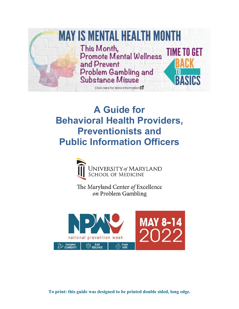

# **A Guide for Behavioral Health Providers, Preventionists and Public Information Officers**



The Maryland Center of Excellence on Problem Gambling



**To print: this guide was designed to be printed double sided, long edge.**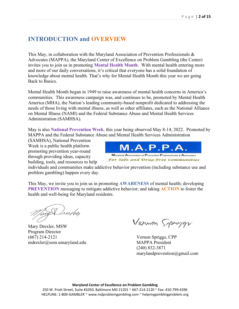## **INTRODUCTION and OVERVIEW**

This May, in collaboration with the Maryland Association of Prevention Professionals & Advocates (MAPPA), the Maryland Center of Excellence on Problem Gambling (the Center) invites you to join us in promoting **Mental Health Month**. With mental health entering more and more of our daily conversations, it's critical that everyone has a solid foundation of knowledge about mental health. That's why for Mental Health Month this year we are going Back to Basics.

Mental Health Month began in 1949 to raise awareness of mental health concerns in America's communities. This awareness campaign was, and continues to be, promoted by Mental Health America (MHA), the Nation's leading community-based nonprofit dedicated to addressing the needs of those living with mental illness, as well as other affiliates, such as the National Alliance on Mental Illness (NAMI) and the Federal Substance Abuse and Mental Health Services Administration (SAMHSA).

May is also **National Prevention Week**, this year being observed May 8-14, 2022. Promoted by MAPPA and the Federal Substance Abuse and Mental Health Services Administration

(SAMHSA), National Prevention Week is a public health platform promoting prevention year-round through providing ideas, capacity building, tools, and resources to help



individuals and communities make addictive behavior prevention (including substance use and problem gambling) happen every day.

This May, we invite you to join us in promoting **AWARENESS** of mental health; developing **PREVENTION** messaging to mitigate addictive behavior; and taking **ACTION** to foster the health and well-being for Maryland residents.

Tay Dueghe

Mary Drexler, MSW Program Director (667) 214-2121 mdrexler@som.umaryland.edu

Vernon Sprygr

Vernon Spriggs, CPP MAPPA President (240) 832-3871 marylandprevention@gmail.com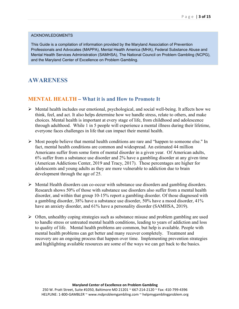#### ACKNOWLEDGMENTS

This Guide is a compilation of information provided by the Maryland Association of Prevention Professionals and Advocates (MAPPA), Mental Health America (MHA), Federal Substance Abuse and Mental Health Services Administration (SAMHSA), The National Council on Problem Gambling (NCPG), and the Maryland Center of Excellence on Problem Gambling.

## **AWARENESS**

## **MENTAL HEALTH – What it is and How to Promote It**

- Mental health includes our emotional, psychological, and social well-being. It affects how we think, feel, and act. It also helps determine how we handle stress, relate to others, and make choices. Mental health is important at every stage of life, from childhood and adolescence through adulthood. While 1 in 5 people will experience a mental illness during their lifetime, everyone faces challenges in life that can impact their mental health.
- $\triangleright$  Most people believe that mental health conditions are rare and "happen to someone else." In fact, mental health conditions are common and widespread. An estimated 44 million Americans suffer from some form of mental disorder in a given year. Of American adults, 6% suffer from a substance use disorder and 2% have a gambling disorder at any given time (American Addictions Center, 2019 and Tracy, 2017). These percentages are higher for adolescents and young adults as they are more vulnerable to addiction due to brain development through the age of 25.
- Mental Health disorders can co-occur with substance use disorders and gambling disorders. Research shows 50% of those with substance use disorders also suffer from a mental health disorder, and within that group 10-15% report a gambling disorder. Of those diagnosed with a gambling disorder, 38% have a substance use disorder, 50% have a mood disorder, 41% have an anxiety disorder, and 61% have a personality disorder (SAMHSA, 2019).
- $\triangleright$  Often, unhealthy coping strategies such as substance misuse and problem gambling are used to handle stress or untreated mental health conditions, leading to years of addiction and loss to quality of life. Mental health problems are common, but help is available. People with mental health problems can get better and many recover completely. Treatment and recovery are an ongoing process that happen over time. Implementing prevention strategies and highlighting available resources are some of the ways we can get back to the basics.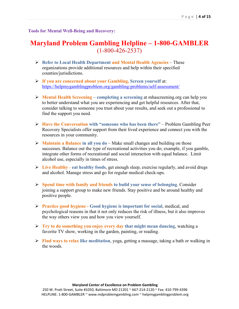## **Tools for Mental Well-Being and Recovery:**

## **Maryland Problem Gambling Helpline – 1-800-GAMBLER**  (1-800-426-2537)

- **Refer to Local Health Department and Mental Health Agencies** These organizations provide additional resources and help within their specified counties/jurisdictions.
- **If you are concerned about your Gambling, Screen yourself** at: <https://helpmygamblingproblem.org/gambling-problems/self-assessment/>
- **Mental Health Screening completing a screening** at mhascreening.org can help you to better understand what you are experiencing and get helpful resources. After that, consider talking to someone you trust about your results, and seek out a professional to find the support you need.
- **Have the Conversation with "someone who has been there"** Problem Gambling Peer Recovery Specialists offer support from their lived experience and connect you with the resources in your community.
- **Maintain a Balance in all you do** Make small changes and building on those successes. Balance out the type of recreational activities you do; example, if you gamble, integrate other forms of recreational and social interaction with equal balance. Limit alcohol use, especially in times of stress.
- **Live Healthy eat healthy foods**, get enough sleep, exercise regularly, and avoid drugs and alcohol. Manage stress and go for regular medical check-ups.
- **Spend time with family and friends to build your sense of belonging**. Consider joining a support group to make new friends. Stay positive and be around healthy and positive people.
- **Practice good hygiene - Good hygiene is important for social**, medical, and psychological reasons in that it not only reduces the risk of illness, but it also improves the way others view you and how you view yourself.
- **Try to do something you enjoy every day that might mean dancing**, watching a favorite TV show, working in the garden, painting, or reading.
- **Find ways to relax like meditation**, yoga, getting a massage, taking a bath or walking in the woods.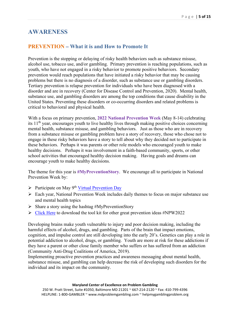## **AWARENESS**

## **PREVENTION – What it is and How to Promote It**

Prevention is the stopping or delaying of risky health behaviors such as substance misuse, alcohol use, tobacco use, and/or gambling. Primary prevention is reaching populations, such as youth, who have not engaged in a risky behavior to promote positive behaviors. Secondary prevention would reach populations that have initiated a risky behavior that may be causing problems but there is no diagnosis of a disorder, such as substance use or gambling disorders. Tertiary prevention is relapse prevention for individuals who have been diagnosed with a disorder and are in recovery (Center for Disease Control and Prevention, 2020). Mental health, substance use, and gambling disorders are among the top conditions that cause disability in the United States. Preventing these disorders or co-occurring disorders and related problems is critical to behavioral and physical health.

With a focus on primary prevention, **2022 National Prevention Week** (May 8-14) celebrating its 11<sup>th</sup> year, encourages youth to live healthy lives through making positive choices concerning mental health, substance misuse, and gambling behaviors. Just as those who are in recovery from a substance misuse or gambling problem have a story of recovery, those who chose not to engage in these risky behaviors have a story to tell about why they decided not to participate in these behaviors. Perhaps it was parents or other role models who encouraged youth to make healthy decisions. Perhaps it was involvement in a faith-based community, sports, or other school activities that encouraged healthy decision making. Having goals and dreams can encourage youth to make healthy decisions.

The theme for this year is **#MyPreventionStory**. We encourage all to participate in National Prevention Week by:

- $\triangleright$  Participate on May 9<sup>th</sup> [Virtual Prevention Day](https://youth.gov/announcements/webinar-prevention-day-2022)
- Each year, National Prevention Week includes daily themes to focus on major substance use and mental health topics
- $\triangleright$  Share a story using the hashtag #MyPreventionStory
- $\triangleright$  [Click Here](https://www.samhsa.gov/prevention-week/toolkit) to download the tool kit for other great prevention ideas #NPW2022

Developing brains make youth vulnerable to injury and poor decision making, including the harmful effects of alcohol, drugs, and gambling. Parts of the brain that impact emotions, cognition, and impulse control are still developing into the early 20's. Genetics can play a role in potential addiction to alcohol, drugs, or gambling. Youth are more at risk for these addictions if they have a parent or other close family member who suffers or has suffered from an addiction (Community Anti-Drug Coalitions of America, 2019).

Implementing proactive prevention practices and awareness messaging about mental health, substance misuse, and gambling can help decrease the risk of developing such disorders for the individual and its impact on the community.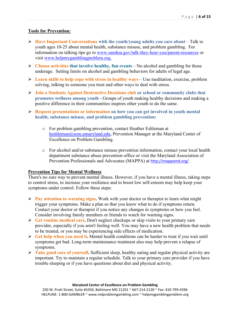## **Tools for Prevention:**

- **Have Important Conversations with the youth/young adults you care about Talk to** youth ages 10-25 about mental health, substance misuse, and problem gambling. For information on talking tips go to [www.samhsa.gov/talk-they-hear-you/parent-resources](http://www.samhsa.gov/talk-they-hear-you/parent-resources) or visit www.helpmygamblingproblem.org.
- **Choose activities that involve healthy, fun events** No alcohol and gambling for those underage. Setting limits on alcohol and gambling behaviors for adults of legal age.
- **Learn skills to help cope with stress in healthy ways** Use meditation, exercise, problem solving, talking to someone you trust and other ways to deal with stress.
- **Join a Students Against Destructive Decisions club or school or community clubs that promotes wellness among youth** - Groups of youth making healthy decisions and making a positive difference in their communities inspires other youth to do the same.
- **Request presentations or information on how you can get involved in youth mental health, substance misuse, and problem gambling prevention:**
	- o For problem gambling prevention, contact Heather Eshleman at [heshleman@som.umaryland.edu,](mailto:heshleman@som.umaryland.edu) Prevention Manager at the Maryland Center of Excellence on Problem Gambling.
	- o For alcohol and/or substance misuse prevention information, contact your local health department substance abuse prevention office or visit the Maryland Association of Prevention Professionals and Advocates (MAPPA) at <http://mappamd.org/>.

### **Prevention Tips for Mental Wellness**

There's no sure way to prevent mental illness. However, if you have a mental illness, taking steps to control stress, to increase your resilience and to boost low self-esteem may help keep your symptoms under control. Follow these steps:

- **Pay attention to warning signs.** Work with your doctor or therapist to learn what might trigger your symptoms. Make a plan so that you know what to do if symptoms return. Contact your doctor or therapist if you notice any changes in symptoms or how you feel. Consider involving family members or friends to watch for warning signs.
- **Get routine medical care.** Don't neglect checkups or skip visits to your primary care provider, especially if you aren't feeling well. You may have a new health problem that needs to be treated, or you may be experiencing side effects of medication.
- **Get help when you need it.** Mental health conditions can be harder to treat if you wait until symptoms get bad. Long-term maintenance treatment also may help prevent a relapse of symptoms.
- **Take good care of yourself.** Sufficient sleep, healthy eating and regular physical activity are important. Try to maintain a regular schedule. Talk to your primary care provider if you have trouble sleeping or if you have questions about diet and physical activity.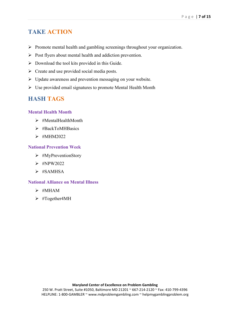## **TAKE ACTION**

- $\triangleright$  Promote mental health and gambling screenings throughout your organization.
- $\triangleright$  Post flyers about mental health and addiction prevention.
- $\triangleright$  Download the tool kits provided in this Guide.
- $\triangleright$  Create and use provided social media posts.
- $\triangleright$  Update awareness and prevention messaging on your website.
- Use provided email signatures to promote Mental Health Month

## **HASH TAGS**

### **Mental Health Month**

- $\triangleright$  #MentalHealthMonth
- > #BackToMHBasics
- $\triangleright$  #MHM2022

### **National Prevention Week**

- $\triangleright$  #MyPreventionStory
- $\triangleright$  #NPW2022
- $\triangleright$  #SAMHSA

## **National Alliance on Mental Illness**

- $\triangleright$  #MHAM
- > #Together4MH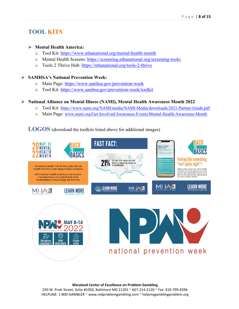## **TOOL KITS**

### **Mental Health America:**

- o Tool Kit:<https://www.mhanational.org/mental-health-month>
- o Mental Health Screens:<https://screening.mhanational.org/screening-tools/>
- o Tools 2 Thrive Hub:<https://mhanational.org/tools-2-thrive>

## **SAMHSA's National Prevention Week:**

- o Main Page:<https://www.samhsa.gov/prevention-week>
- o Tool Kit:<https://www.samhsa.gov/prevention-week/toolkit>

### **National Alliance on Mental Illness (NAMI), Mental Health Awareness Month 2022**

- o Tool Kit: <https://www.nami.org/NAMI/media/NAMI-Media/downloads/2021-Partner-Guide.pdf>
- o Main Page: [www.nami.org/Get-Involved/Awareness-Events/Mental-Health-Awareness-Month](http://www.nami.org/Get-Involved/Awareness-Events/Mental-Health-Awareness-Month)

## **LOGOS** (download the toolkits listed above for additional images)



#### **Maryland Center of Excellence on Problem Gambling**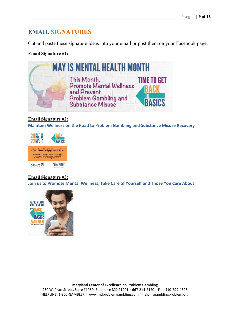## **EMAIL SIGNATURES**

Cut and paste these signature ideas into your email or post them on your Facebook page:

## **Email Signature #1:**



## **Email Signature #2:**

**Maintain Wellness on the Road to Problem Gambling and Substance Misuse Recovery**



## **Email Signature #3:**

**Join us to Promote Mental Wellness, Take Care of Yourself and Those You Care About**



**Maryland Center of Excellence on Problem Gambling**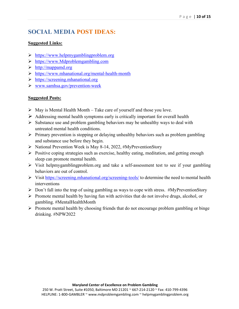## **SOCIAL MEDIA POST IDEAS:**

## **Suggested Links:**

- [https://www.helpmygamblingproblem.org](https://www.helpmygamblingproblem.org/)
- https://www.Mdproblemgambling.com
- http://mappamd.org
- <https://www.mhanational.org/mental-health-month>
- https://screening.mhanational.org
- [www.samhsa.gov/prevention-week](http://www.samhsa.gov/prevention-week)

## **Suggested Posts:**

- $\triangleright$  May is Mental Health Month Take care of yourself and those you love.
- $\triangleright$  Addressing mental health symptoms early is critically important for overall health
- $\triangleright$  Substance use and problem gambling behaviors may be unhealthy ways to deal with untreated mental health conditions.
- $\triangleright$  Primary prevention is stopping or delaying unhealthy behaviors such as problem gambling and substance use before they begin.
- $\triangleright$  National Prevention Week is May 8-14, 2022, #MyPreventionStory
- $\triangleright$  Positive coping strategies such as exercise, healthy eating, meditation, and getting enough sleep can promote mental health.
- $\triangleright$  Visit helpmygamblingproblem.org and take a self-assessment test to see if your gambling behaviors are out of control.
- Visit<https://screening.mhanational.org/screening-tools/> to determine the need to mental health interventions
- $\triangleright$  Don't fall into the trap of using gambling as ways to cope with stress. #MyPreventionStory
- $\triangleright$  Promote mental health by having fun with activities that do not involve drugs, alcohol, or gambling. #MentalHealthMonth
- $\triangleright$  Promote mental health by choosing friends that do not encourage problem gambling or binge drinking. #NPW2022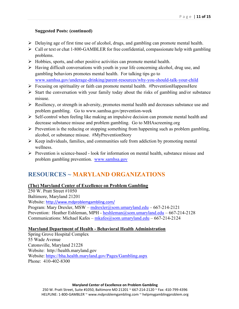## **Suggested Posts: (continued)**

- Delaying age of first time use of alcohol, drugs, and gambling can promote mental health.
- $\triangleright$  Call or text or chat 1-800-GAMBLER for free confidential, compassionate help with gambling problems.
- $\triangleright$  Hobbies, sports, and other positive activities can promote mental health.
- $\triangleright$  Having difficult conversations with youth in your life concerning alcohol, drug use, and gambling behaviors promotes mental health. For talking tips go to www.samhsa.gov/underage-drinking/parent-resources/why-you-should-talk-your-child
- $\triangleright$  Focusing on spirituality or faith can promote mental health. #PreventionHappensHere
- $\triangleright$  Start the conversation with your family today about the risks of gambling and/or substance misuse.
- $\triangleright$  Resiliency, or strength in adversity, promotes mental health and decreases substance use and problem gambling. Go to www.samhsa.gov/prevention-week
- $\triangleright$  Self-control when feeling like making an impulsive decision can promote mental health and decrease substance misuse and problem gambling. Go to MHAscreening.org
- $\triangleright$  Prevention is the reducing or stopping something from happening such as problem gambling, alcohol, or substance misuse. #MyPreventionStory
- $\triangleright$  Keep individuals, families, and communities safe from addiction by promoting mental wellness.
- $\triangleright$  Prevention is science-based look for information on mental health, substance misuse and problem gambling prevention. [www.samhsa.gov](http://www.samhsa.gov/)

## **RESOURCES ~ MARYLAND ORGANIZATIONS**

## **(The) Maryland Center of Excellence on Problem Gambling**

250 W. Pratt Street #1050 Baltimore, Maryland 21201 Website: <http://www.mdproblemgambling.com/> Program: Mary Drexler, MSW –  $mdrexler(@som.umaryland.edu – 667-214-2121)$ Prevention: Heather Eshleman, MPH -  $heshleman@som. umarvland.edu - 667-214-2128$ Communications: Michael Kafes – [mkafes@som.umaryland.edu](mailto:mkafes@som.umaryland.edu) – 667-214-2124

### **Maryland Department of Health - Behavioral Health Administration**

Spring Grove Hospital Complex 55 Wade Avenue Catonsville, Maryland 21228 Website: http://health.maryland.gov Website:<https://bha.health.maryland.gov/Pages/Gambling.aspx> Phone: 410-402-8300

#### **Maryland Center of Excellence on Problem Gambling**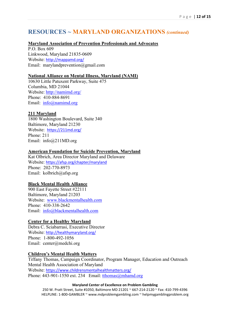### **Maryland Association of Prevention Professionals and Advocates**

P.O. Box 609 Linkwood, Maryland 21835-0609 Website: <http://mappamd.org/> Email: marylandprevention@gmail.com

### **National Alliance on Mental Illness, Maryland (NAMI)**

10630 Little Patuxent Parkway, Suite 475 Columbia, MD 21044 Website:<http://namimd.org/> Phone: 410-884-8691 Email: [info@namimd.org](mailto:info@namimd.org)

### **211 Maryland**

1800 Washington Boulevard, Suite 340 Baltimore, Maryland 21230 Website: <https://211md.org/> Phone: 211 Email: info@211MD.org

#### **American Foundation for Suicide Prevention, Maryland**

Kat Olbrich, Area Director Maryland and Delaware Website: <https://afsp.org/chapter/maryland> Phone: 202-770-8973 Email: kolbrich@afsp.org

#### **Black Mental Health Alliance**

900 East Fayette Street #22111 Baltimore, Maryland 21203 Website: [www.blackmentalhealth.com](http://www.blackmentalhealth.com/) Phone: 410-338-2642 Email: [info@blackmentalhealth.com](mailto:info@blackmentalhealth.com)

#### **Center for a Healthy Maryland**

Debra C. Sciabarrasi, Executive Director Website: <http://healthymaryland.org/> Phone: 1-800-492-1056 Email: center@medchi.org

### **Children's Mental Health Matters**

Tiffany Thomas, Campaign Coordinator, Program Manager, Education and Outreach Mental Health Association of Maryland Website: <https://www.childrensmentalhealthmatters.org/> Phone:  $443-901-1550$  ext. 234 Email: tthomas @mhamd.org

#### **Maryland Center of Excellence on Problem Gambling**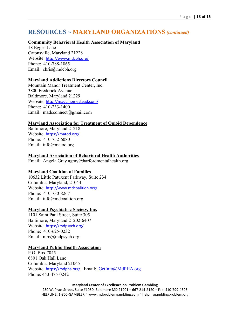### **Community Behavioral Health Association of Maryland**

18 Egges Lane Catonsville, Maryland 21228 Website: <http://www.mdcbh.org/> Phone: 410-788-1865 Email: chris@mdcbh.org

#### **Maryland Addictions Directors Council**

Mountain Manor Treatment Center, Inc. 3800 Frederick Avenue Baltimore, Maryland 21229 Website: <http://madc.homestead.com/> Phone: 410-233-1400 Email: madcconnect@gmail.com

### **Maryland Association for Treatment of Opioid Dependence**

Baltimore, Maryland 21218 Website: <https://matod.org/> Phone: 410-752-6080 Email: info@matod.org

### **Maryland Association of Behavioral Health Authorities**

Email: Angela Gray agray@harfordmentalhealth.org

### **Maryland Coalition of Families**

10632 Little Patuxent Parkway, Suite 234 Columbia, Maryland, 21044 Website: <http://www.mdcoalition.org/> Phone: 410-730-8267 Email: info@mdcoaltion.org

#### **Maryland Psychiatric Society, Inc.**

1101 Saint Paul Street, Suite 305 Baltimore, Maryland 21202-6407 Website: <https://mdpsych.org/> Phone: 410-625-0232 Email: mps@mdpsych.org

#### **Maryland Public Health Association**

P.O. Box 7045 6801 Oak Hall Lane Columbia, Maryland 21045 Website: <https://mdpha.org/> Email: [GetInfo@MdPHA.org](mailto:GetInfo@MdPHA.org) Phone: 443-475-0242

#### **Maryland Center of Excellence on Problem Gambling**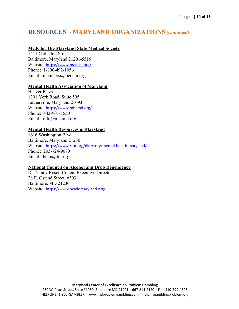## **MedChi, The Maryland State Medical Society**

1211 Cathedral Street Baltimore, Maryland 21201-5516 Website: <https://www.medchi.org/> Phone: 1-800-492-1056 Email: members@medchi.org

#### **Mental Health Association of Maryland**

Heaver Plaza 1301 York Road, Suite 505 Lutherville, Maryland 21093 Website: <https://www.mhamd.org/> Phone: 443-901-1550 Email: [info@mhamd.org](mailto:info@mhamd.org)

## **Mental Health Resources in Maryland**

1616 Washington Blvd. Baltimore, Maryland 21230 Website: <https://www.rtor.org/directory/mental-health-maryland/> Phone: 203-724-9070 Email: help@rtor.org

### **National Council on Alcohol and Drug Dependency**

Dr. Nancy Rosen-Cohen, Executive Director 28 E. Ostend Street, #303 Baltimore, MD 21230 Website: <https://www.ncaddmaryland.org/>